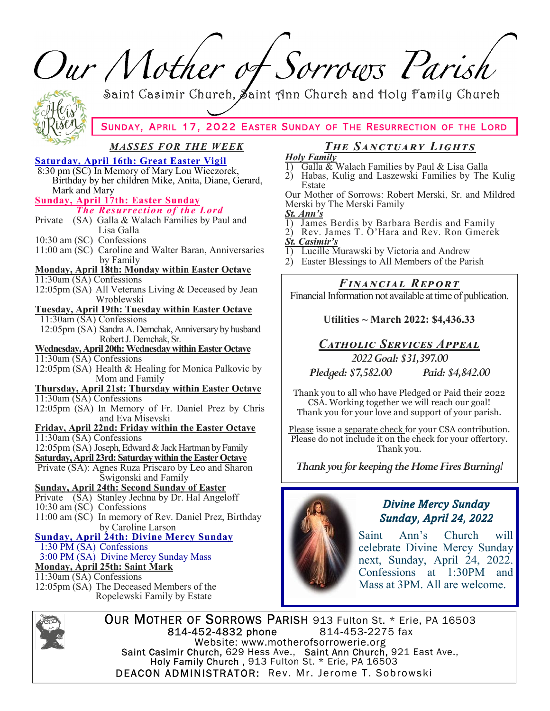Our Mother of Sorrows Parish Saint Casimir Church, Saint Ann Church and Holy Family Church SUNDAY, APRIL 17, 2022 EASTER SUNDAY OF THE RESURRECTION OF THE LORD <u>MASSES FOR THE WEEK</u> The SANCTUARY LIGHTS **Holy Family Saturday, April 16th: Great Easter Vigil** Galla & Walach Families by Paul & Lisa Galla  $\overline{1}$ 8:30 pm (SC) In Memory of Mary Lou Wieczorek, 2) Habas, Kulig and Laszewski Families by The Kulig Birthday by her children Mike, Anita, Diane, Gerard, Estate Mark and Mary Our Mother of Sorrows: Robert Merski, Sr. and Mildred **Sunday, April 17th: Easter Sunday** Merski by The Merski Family The Resurrection of the Lord St. Ann's Private (SA) Galla & Walach Families by Paul and James Berdis by Barbara Berdis and Family  $\left( \right)$ Lisa Galla  $2)$ Rev. James T. O'Hara and Rev. Ron Gmerek 10:30 am (SC) Confessions **St. Casimir's** 11:00 am (SC) Caroline and Walter Baran, Anniversaries Lucille Murawski by Victoria and Andrew 1) by Family 2) Easter Blessings to All Members of the Parish Monday, April 18th: Monday within Easter Octave 11:30am (SA) Confessions Financial Report 12:05pm (SA) All Veterans Living & Deceased by Jean Financial Information not available at time of publication. Wroblewski **Tuesday, April 19th: Tuesday within Easter Octave** 11:30am (SA) Confessions Utilities ~ March 2022: \$4,436.33 12:05pm (SA) Sandra A. Demchak, Anniversary by husband Robert J. Demchak, Sr. CATHOLIC SERVICES APPEAL Wednesday, April 20th: Wednesday within Easter Octave 2022 Goal: \$31,397,00 11:30am (SA) Confessions 12:05pm (SA) Health & Healing for Monica Palkovic by Pledged: \$7,582.00 Paid: \$4,842.00 Mom and Family Thursday, April 21st: Thursday within Easter Octave Thank you to all who have Pledged or Paid their 2022  $11:30$ am (SA) Confessions CSA. Working together we will reach our goal! 12:05pm (SA) In Memory of Fr. Daniel Prez by Chris Thank you for your love and support of your parish. and Eva Misevski Friday, April 22nd: Friday within the Easter Octave Please issue a separate check for your CSA contribution. 11:30am (SA) Confessions Please do not include it on the check for your offertory. 12:05pm (SA) Joseph, Edward & Jack Hartman by Family Thank you. **Saturday, April 23rd: Saturday within the Easter Octave** Thank you for keeping the Home Fires Burning! Private (SA): Agnes Ruza Priscaro by Leo and Sharon Šwigonski and Family **Sunday, April 24th: Second Sunday of Easter** Private (SA) Stanley Jechna by Dr. Hal Angeloff **Divine Mercy Sunday** 10:30 am (SC) Confessions 11:00 am (SC) In memory of Rev. Daniel Prez, Birthday Sunday, April 24, 2022 by Caroline Larson Saint  $Ann's$ Church will **Sunday, April 24th: Divine Mercy Sunday** 1:30 PM (SA) Confessions celebrate Divine Mercy Sunday 3:00 PM (SA) Divine Mercy Sunday Mass next, Sunday, April 24, 2022. **Monday, April 25th: Saint Mark** Confessions at 1:30PM and  $11:30$ am (SA) Confessions Mass at 3PM. All are welcome. 12:05pm (SA) The Deceased Members of the Ropelewski Family by Estate



OUR MOTHER OF SORROWS PARISH 913 Fulton St. \* Erie, PA 16503 814-452-4832 phone 814-453-2275 fax Website: www.motherofsorrowerie.org Saint Casimir Church, 629 Hess Ave., Saint Ann Church, 921 East Ave.,<br>Holy Family Church, 913 Fulton St. \* Erie, PA 16503 DEACON ADMINISTRATOR: Rev. Mr. Jerome T. Sobrowski